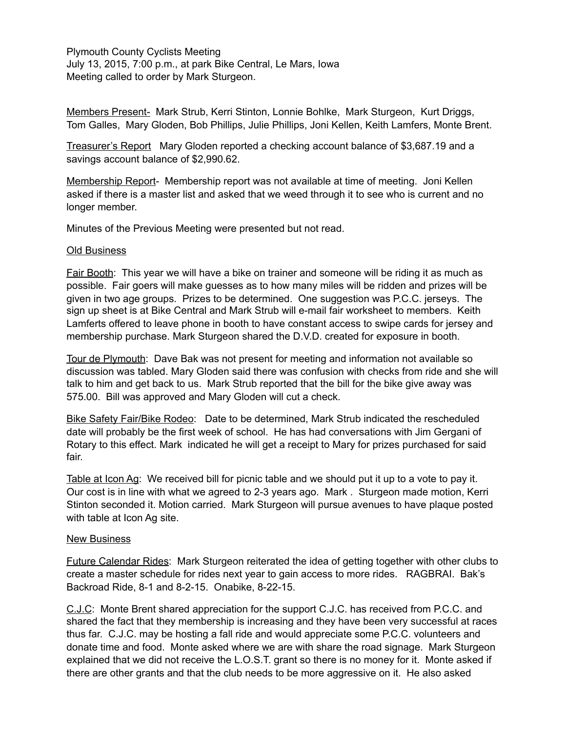Plymouth County Cyclists Meeting July 13, 2015, 7:00 p.m., at park Bike Central, Le Mars, Iowa Meeting called to order by Mark Sturgeon.

Members Present- Mark Strub, Kerri Stinton, Lonnie Bohlke, Mark Sturgeon, Kurt Driggs, Tom Galles, Mary Gloden, Bob Phillips, Julie Phillips, Joni Kellen, Keith Lamfers, Monte Brent.

Treasurer's Report Mary Gloden reported a checking account balance of \$3,687.19 and a savings account balance of \$2,990.62.

Membership Report- Membership report was not available at time of meeting. Joni Kellen asked if there is a master list and asked that we weed through it to see who is current and no longer member.

Minutes of the Previous Meeting were presented but not read.

## Old Business

Fair Booth: This year we will have a bike on trainer and someone will be riding it as much as possible. Fair goers will make guesses as to how many miles will be ridden and prizes will be given in two age groups. Prizes to be determined. One suggestion was P.C.C. jerseys. The sign up sheet is at Bike Central and Mark Strub will e-mail fair worksheet to members. Keith Lamferts offered to leave phone in booth to have constant access to swipe cards for jersey and membership purchase. Mark Sturgeon shared the D.V.D. created for exposure in booth.

Tour de Plymouth: Dave Bak was not present for meeting and information not available so discussion was tabled. Mary Gloden said there was confusion with checks from ride and she will talk to him and get back to us. Mark Strub reported that the bill for the bike give away was 575.00. Bill was approved and Mary Gloden will cut a check.

Bike Safety Fair/Bike Rodeo: Date to be determined, Mark Strub indicated the rescheduled date will probably be the first week of school. He has had conversations with Jim Gergani of Rotary to this effect. Mark indicated he will get a receipt to Mary for prizes purchased for said fair.

Table at Icon Ag: We received bill for picnic table and we should put it up to a vote to pay it. Our cost is in line with what we agreed to 2-3 years ago. Mark . Sturgeon made motion, Kerri Stinton seconded it. Motion carried. Mark Sturgeon will pursue avenues to have plaque posted with table at Icon Ag site.

## New Business

Future Calendar Rides: Mark Sturgeon reiterated the idea of getting together with other clubs to create a master schedule for rides next year to gain access to more rides. RAGBRAI. Bak's Backroad Ride, 8-1 and 8-2-15. Onabike, 8-22-15.

C.J.C: Monte Brent shared appreciation for the support C.J.C. has received from P.C.C. and shared the fact that they membership is increasing and they have been very successful at races thus far. C.J.C. may be hosting a fall ride and would appreciate some P.C.C. volunteers and donate time and food. Monte asked where we are with share the road signage. Mark Sturgeon explained that we did not receive the L.O.S.T. grant so there is no money for it. Monte asked if there are other grants and that the club needs to be more aggressive on it. He also asked